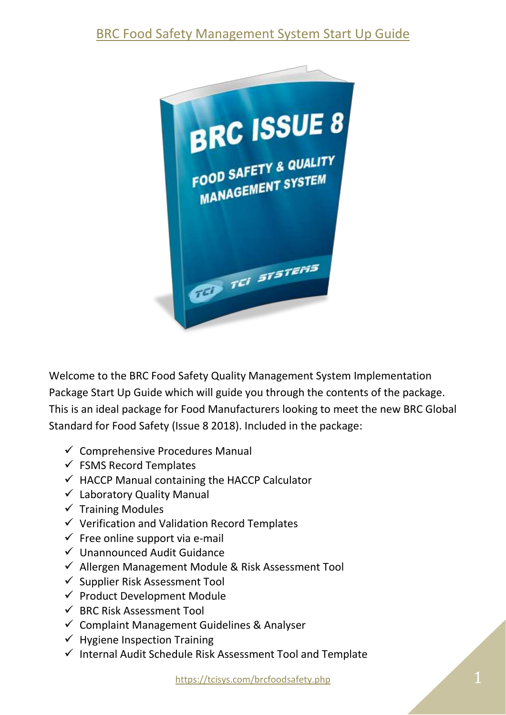# [BRC Food Safety Management System Start Up Guide](https://tcisys.com/brcfoodsafety.php)



Welcome to the BRC Food Safety Quality Management System Implementation Package Start Up Guide which will guide you through the contents of the package. This is an ideal package for Food Manufacturers looking to meet the new BRC Global Standard for Food Safety (Issue 8 2018). Included in the package:

- $\checkmark$  Comprehensive Procedures Manual
- $\checkmark$  FSMS Record Templates
- $\checkmark$  HACCP Manual containing the HACCP Calculator
- $\checkmark$  Laboratory Quality Manual
- $\checkmark$  Training Modules
- $\checkmark$  Verification and Validation Record Templates
- $\checkmark$  Free online support via e-mail
- ✓ Unannounced Audit Guidance
- $\checkmark$  Allergen Management Module & Risk Assessment Tool
- $\checkmark$  Supplier Risk Assessment Tool
- $\checkmark$  Product Development Module
- $\checkmark$  BRC Risk Assessment Tool
- $\checkmark$  Complaint Management Guidelines & Analyser
- $\checkmark$  Hygiene Inspection Training
- $\checkmark$  Internal Audit Schedule Risk Assessment Tool and Template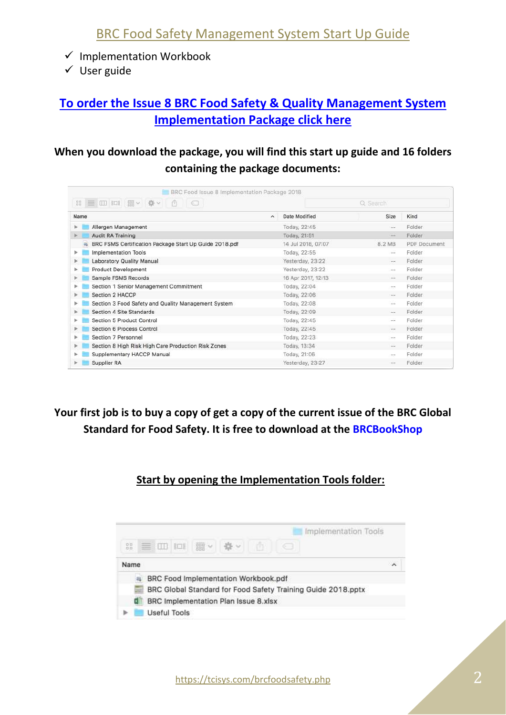- $\checkmark$  Implementation Workbook
- ✓ User guide

## **[To order the Issue 8 BRC Food Safety & Quality Management System](http://www.brcfoodsafety.com/)  [Implementation Package click here](http://www.brcfoodsafety.com/)**

### **When you download the package, you will find this start up guide and 16 folders containing the package documents:**

| $^{00}_{10}$ | 三 田 四<br>  照 ↓<br>春。<br>ñ<br>- 18                      |                       |                    | Q. Search       |              |  |  |  |
|--------------|--------------------------------------------------------|-----------------------|--------------------|-----------------|--------------|--|--|--|
| Name         |                                                        | $\tilde{\phantom{a}}$ | Date Modified      | Size            | Kind         |  |  |  |
|              | Allergen Management                                    |                       | Today, 22:45       |                 | Folder       |  |  |  |
|              | Audit RA Training                                      |                       | Today, 21:51       | $\frac{1}{2}$   | Folder       |  |  |  |
|              | BRC FSMS Certification Package Start Up Guide 2018.pdf |                       | 14 Jul 2018, 07:07 | 8.2 MB          | PDF Document |  |  |  |
| Þ.           | Implementation Tools                                   |                       | Today, 22:55       | --              | Folder       |  |  |  |
|              | Laboratory Quality Manual                              |                       | Yesterday, 23:22   | $-1$            | Folder       |  |  |  |
|              | <b>Product Development</b>                             |                       | Yesterday, 23:22   | $\sim$ $\sim$   | Folder       |  |  |  |
|              | Sample FSMS Records                                    |                       | 16 Apr 2017, 12:13 | $\rightarrow$   | Folder       |  |  |  |
|              | Section 1 Senior Management Commitment                 |                       | Today, 22:04       | $\sim$ $\sim$   | Folder       |  |  |  |
|              | Section 2 HACCP                                        |                       | Today, 22:06       | $\sim$ $\sim$   | Folder       |  |  |  |
|              | Section 3 Food Safety and Quality Management System    |                       | Today, 22:08       | $\sim$ $\omega$ | Folder       |  |  |  |
|              | Section 4 Site Standards                               |                       | Today, 22:09       | $\sim$ $\sim$   | Folder       |  |  |  |
|              | Section 5 Product Control                              |                       | Today, 22:45       | Ξö              | Folder       |  |  |  |
|              | Section 6 Process Control                              |                       | Today, 22:45       | $-1$            | Folder       |  |  |  |
|              | Section 7 Personnel                                    |                       | Today, 22:23       | $\rightarrow$   | Folder       |  |  |  |
|              | Section 8 High Risk High Care Production Risk Zones    |                       | Today, 13:34       | $-1$            | Folder       |  |  |  |
|              | Supplementary HACCP Manual                             |                       | Today, 21:06       | $\sim$ $\sim$   | Folder       |  |  |  |
|              | Supplier RA                                            |                       | Yesterday, 23:27   |                 | Folder       |  |  |  |

## **Your first job is to buy a copy of get a copy of the current issue of the BRC Global Standard for Food Safety. It is free to download at the [BRCBookShop](https://brcbookshop.com/bookshop/brc-global-standard-food-safety-issue-8/c-24/p-414)**

#### **Start by opening the Implementation Tools folder:**

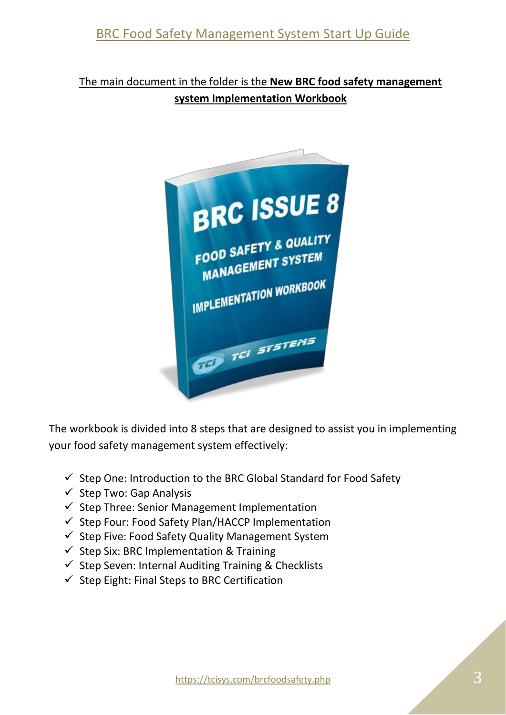The main document in the folder is the **New BRC food safety management system Implementation Workbook**



The workbook is divided into 8 steps that are designed to assist you in implementing your food safety management system effectively:

- $\checkmark$  Step One: Introduction to the BRC Global Standard for Food Safety
- $\checkmark$  Step Two: Gap Analysis
- ✓ Step Three: Senior Management Implementation
- $\checkmark$  Step Four: Food Safety Plan/HACCP Implementation
- $\checkmark$  Step Five: Food Safety Quality Management System
- $\checkmark$  Step Six: BRC Implementation & Training
- $\checkmark$  Step Seven: Internal Auditing Training & Checklists
- $\checkmark$  Step Eight: Final Steps to BRC Certification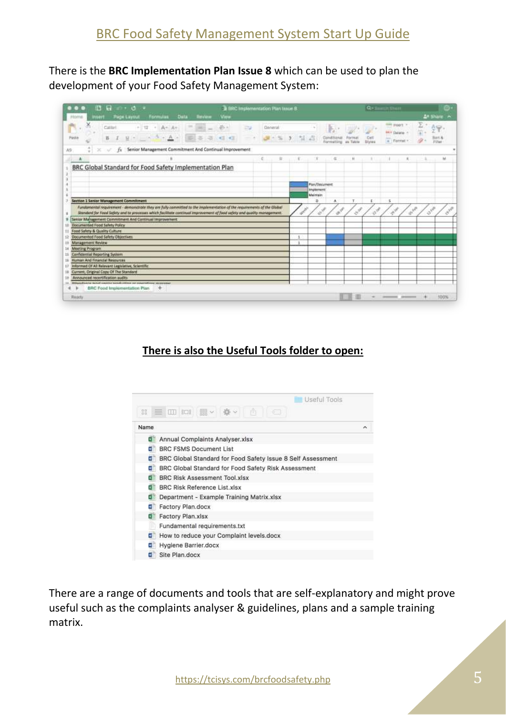There is the **BRC Implementation Plan Issue 8** which can be used to plan the development of your Food Safety Management System:

| $-0.75$<br>晒                                                                                                                                                                                                                                                                                                 | <b>B RRC</b> Implementation Plan Issue & |               |         |              |              |                              |                                                                |                             | $\Omega$ -            | <b>COLUMN</b>                                                                                                                                                                                                                   |                           |                |               |
|--------------------------------------------------------------------------------------------------------------------------------------------------------------------------------------------------------------------------------------------------------------------------------------------------------------|------------------------------------------|---------------|---------|--------------|--------------|------------------------------|----------------------------------------------------------------|-----------------------------|-----------------------|---------------------------------------------------------------------------------------------------------------------------------------------------------------------------------------------------------------------------------|---------------------------|----------------|---------------|
| <b>Page Layout</b><br><b>Data</b><br>Formulas<br>Hons                                                                                                                                                                                                                                                        | <b>Baralaine</b><br>View                 |               |         |              |              |                              |                                                                |                             |                       |                                                                                                                                                                                                                                 |                           |                | A+ Share      |
| $-112$<br>$A - Ar$<br>Calibri<br>$-41$<br>$-$ A -<br>€<br>见 =<br>Paste                                                                                                                                                                                                                                       | ×<br>$\Rightarrow$<br>$46 - 46$          | $\Rightarrow$ | General |              |              |                              | <b>BRITISHI</b>                                                | Flymus<br>an Tutche         | <b>Cell</b><br>Styles | <b>SIM WORLY</b><br><b>MY Deate /</b><br>$\frac{1}{n}$ : Farmat                                                                                                                                                                 |                           |                | <b>Filter</b> |
| Senior Management Commitment And Continual Improvement<br>A9                                                                                                                                                                                                                                                 |                                          |               |         |              |              |                              |                                                                |                             |                       |                                                                                                                                                                                                                                 |                           |                |               |
| A                                                                                                                                                                                                                                                                                                            |                                          |               | C       | $\mathbf{B}$ | $1.16 - 1.7$ |                              | $-6$                                                           | $\mu$                       | $\mathcal{L}$         | <b>SULL</b>                                                                                                                                                                                                                     | х.                        | -4.            | M             |
| BRC Global Standard for Food Safety Implementation Plan                                                                                                                                                                                                                                                      |                                          |               |         |              |              |                              |                                                                |                             |                       |                                                                                                                                                                                                                                 |                           |                |               |
|                                                                                                                                                                                                                                                                                                              |                                          |               |         |              |              |                              |                                                                |                             |                       |                                                                                                                                                                                                                                 |                           |                |               |
|                                                                                                                                                                                                                                                                                                              |                                          |               |         |              |              | <b>Flax/Document</b>         |                                                                |                             |                       |                                                                                                                                                                                                                                 |                           |                |               |
|                                                                                                                                                                                                                                                                                                              |                                          |               |         |              |              | <b>Implement</b><br>Maintain |                                                                |                             |                       |                                                                                                                                                                                                                                 |                           |                |               |
|                                                                                                                                                                                                                                                                                                              |                                          |               |         |              |              |                              |                                                                |                             |                       |                                                                                                                                                                                                                                 |                           |                |               |
| Section 1 Senior Management Commitment                                                                                                                                                                                                                                                                       |                                          |               |         |              |              | D.                           | ۸                                                              | т.                          | r.                    | 雀                                                                                                                                                                                                                               |                           |                |               |
| Fundpreentst regulatment - demonstrate they are fully committed to the implementation of the requirements of the Global<br>Standard for Food Safety and to processes which facilitate continual improvement of food safety and quality management.<br>Senior Management Commitment And Continual Improvement |                                          |               |         |              | e (b).<br>Si | Charles R.                   | $\boldsymbol{\vartheta}^{\boldsymbol{\vartheta}^{\mathrm{P}}}$ | $\mathcal{S}^{\mathcal{S}}$ | $\phi^{\mathscr{F}}$  | e de la concenza de la concenza de la concenza de la concenza de la concenza de la concenza de la concenza de<br>La concenza de la concenza de la concenza de la concenza de la concenza de la concenza de la concenza de la co | $\sigma_{\rm e}^{\rm eV}$ | <b>July 18</b> |               |
| <b>Documented Food Safety Policy</b>                                                                                                                                                                                                                                                                         |                                          |               |         |              |              |                              |                                                                |                             |                       |                                                                                                                                                                                                                                 |                           |                |               |
| Food Safety & Quality Culture                                                                                                                                                                                                                                                                                |                                          |               |         |              |              |                              |                                                                |                             |                       |                                                                                                                                                                                                                                 |                           |                |               |
| Documented Food Safety Objectives                                                                                                                                                                                                                                                                            |                                          |               |         |              |              |                              |                                                                |                             |                       |                                                                                                                                                                                                                                 |                           |                |               |
| <b>Masagement Review</b>                                                                                                                                                                                                                                                                                     |                                          |               |         |              | $\mathbf{I}$ |                              |                                                                |                             |                       |                                                                                                                                                                                                                                 |                           |                |               |
| Meeting Program                                                                                                                                                                                                                                                                                              |                                          |               |         |              |              |                              |                                                                |                             |                       |                                                                                                                                                                                                                                 |                           |                |               |
| Confidential Reporting System                                                                                                                                                                                                                                                                                |                                          |               |         |              |              |                              |                                                                |                             |                       |                                                                                                                                                                                                                                 |                           |                |               |
| furnan And Financial Relexances                                                                                                                                                                                                                                                                              |                                          |               |         |              |              |                              |                                                                |                             |                       |                                                                                                                                                                                                                                 |                           |                |               |
| Informed Of All Relevant Legislative, Scientific<br>Current, Driginal Copy Of The Standard                                                                                                                                                                                                                   |                                          |               |         |              |              |                              |                                                                |                             |                       |                                                                                                                                                                                                                                 |                           |                |               |
| Announced recentRication sudits                                                                                                                                                                                                                                                                              |                                          |               |         |              |              |                              |                                                                |                             |                       |                                                                                                                                                                                                                                 |                           |                |               |
| <b>Importance what cardive productive or coversibles recognized</b>                                                                                                                                                                                                                                          |                                          |               |         |              |              |                              |                                                                |                             |                       |                                                                                                                                                                                                                                 |                           |                |               |
| $\overline{ }$<br>٠<br>$\overline{\phantom{a}}$<br>18<br>11<br>12<br>13<br>18<br>11<br>16<br>17<br>18<br>18<br>F61<br>BRC Food Implementation Plan                                                                                                                                                           |                                          |               |         |              |              |                              |                                                                |                             |                       |                                                                                                                                                                                                                                 |                           |                |               |

#### **There is also the Useful Tools folder to open:**



There are a range of documents and tools that are self-explanatory and might prove useful such as the complaints analyser & guidelines, plans and a sample training matrix.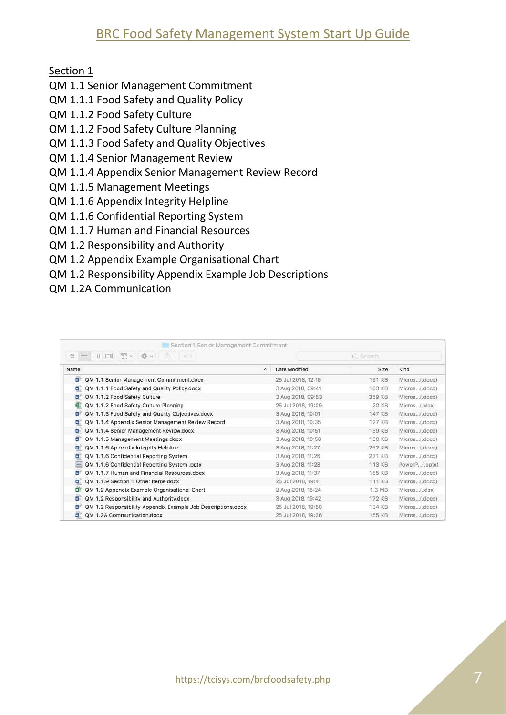Section 1

- QM 1.1 Senior Management Commitment
- QM 1.1.1 Food Safety and Quality Policy
- QM 1.1.2 Food Safety Culture
- QM 1.1.2 Food Safety Culture Planning
- QM 1.1.3 Food Safety and Quality Objectives
- QM 1.1.4 Senior Management Review
- QM 1.1.4 Appendix Senior Management Review Record
- QM 1.1.5 Management Meetings
- QM 1.1.6 Appendix Integrity Helpline
- QM 1.1.6 Confidential Reporting System
- QM 1.1.7 Human and Financial Resources
- QM 1.2 Responsibility and Authority
- QM 1.2 Appendix Example Organisational Chart
- QM 1.2 Responsibility Appendix Example Job Descriptions
- QM 1.2A Communication

| Section 1 Senior Management Commitment                                           |                         |          |               |
|----------------------------------------------------------------------------------|-------------------------|----------|---------------|
| $\frac{1}{1000}$ $\vee$<br>楽し<br>$^{10.0}_{10.0}$<br>$\equiv$ 10 10 11<br>m<br>€ |                         | Q Search |               |
| Name                                                                             | Date Modified<br>$\sim$ | Size     | Kind          |
| N<br>QM 1.1 Senior Management Commitment.docx                                    | 25 Jul 2018, 12:16      | 151 KB   | Micros(.docx) |
| QM 1.1.1 Food Safety and Quality Policy.docx<br>$\sim$                           | 3 Aug 2018, 09:41       | 163 KB   | Micros(.docx) |
| QM 1.1.2 Food Safety Culture<br>W                                                | 3 Aug 2018, 09:53       | 359 KB   | Micros(.docx) |
| QM 1.1.2 Food Safety Culture Planning<br>×                                       | 25 Jul 2018, 19:09      | 20 KB    | Micros(.xisx) |
| QM 1.1.3 Food Safety and Quality Objectives.docx<br>N                            | 3 Aug 2018, 10:01       | 147 KB   | Micros(.docx) |
| QM 1.1.4 Appendix Senior Management Review Record<br>$\mathbf{v}$                | 3 Aug 2018, 10:35       | 127 KB   | Micros(.docx) |
| QM 1.1.4 Senior Management Review.docx<br>$N_{\rm H}$                            | 3 Aug 2018, 10:51       | 139 KB   | Micros(.docx) |
| QM 1.1.5 Management Meetings.docx<br>wE                                          | 3 Aug 2018, 10:58       | 150 KB   | Micros(.docx) |
| QM 1.1.6 Appendix Integrity Helpline<br>W                                        | 3 Aug 2018, 11:27       | 252 KB   | Micros(.docx) |
| QM 1.1.6 Confidential Reporting System<br>$\alpha$                               | 3 Aug 2018, 11:26       | 271 KB   | Micros(.docx) |
| QM 1.1.6 Confidential Reporting System .pptx<br>$\frac{1}{2}$                    | 3 Aug 2018, 11:28       | 113 KB   | PowerP(.pptx) |
| QM 1.1.7 Human and Financial Resources.docx<br>$\sim$                            | 3 Aug 2018, 11:37       | 155 KB   | Micros(.docx) |
| OM 1.1.9 Section 1 Other Items.docx<br>w                                         | 25 Jul 2018, 19:41      | 111 KB   | Micros(.docx) |
| QM 1.2 Appendix Example Organisational Chart<br>×                                | 3 Aug 2018, 18:24       | 1.3MB    | Micros(.xlsx) |
| QM 1.2 Responsibility and Authority.docx<br>$N-$                                 | 3 Aug 2018, 19:42       | 172 KB   | Micros(.docx) |
| QM 1.2 Responsibility Appendix Example Job Descriptions.docx<br>$\mathbf{v}$     | 25 Jul 2018, 19:50      | 134 KB   | Micros(.docx) |
| OM 1.2A Communication.docx<br>ωĖ                                                 | 25 Jul 2018, 19:36      | 155 KB   | Micros(.docx) |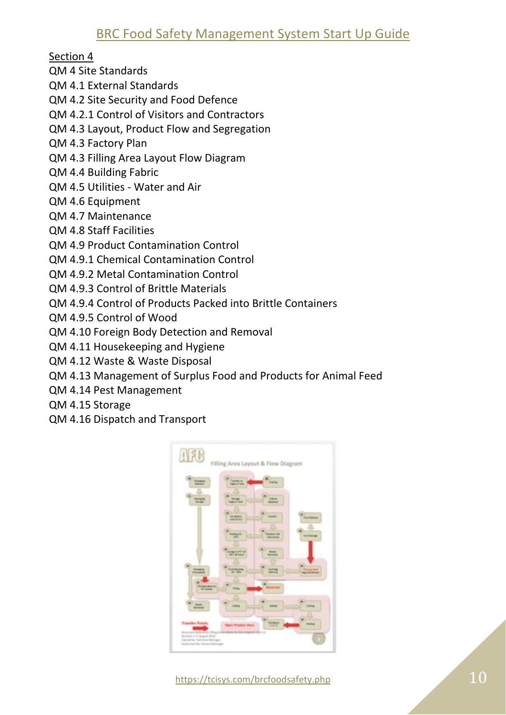Section 4

QM 4 Site Standards

QM 4.1 External Standards

QM 4.2 Site Security and Food Defence

QM 4.2.1 Control of Visitors and Contractors

QM 4.3 Layout, Product Flow and Segregation

QM 4.3 Factory Plan

QM 4.3 Filling Area Layout Flow Diagram

QM 4.4 Building Fabric

- QM 4.5 Utilities Water and Air
- QM 4.6 Equipment

QM 4.7 Maintenance

QM 4.8 Staff Facilities

QM 4.9 Product Contamination Control

QM 4.9.1 Chemical Contamination Control

QM 4.9.2 Metal Contamination Control

QM 4.9.3 Control of Brittle Materials

QM 4.9.4 Control of Products Packed into Brittle Containers

QM 4.9.5 Control of Wood

QM 4.10 Foreign Body Detection and Removal

QM 4.11 Housekeeping and Hygiene

QM 4.12 Waste & Waste Disposal

QM 4.13 Management of Surplus Food and Products for Animal Feed

QM 4.14 Pest Management

QM 4.15 Storage

QM 4.16 Dispatch and Transport

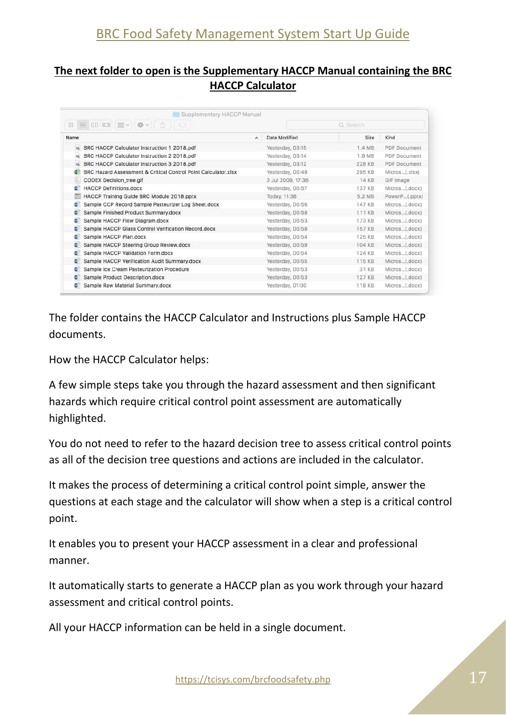#### **The next folder to open is the Supplementary HACCP Manual containing the BRC HACCP Calculator**

| $^{12}_{00}$             | $\equiv$ $\equiv$ $\equiv$<br>楽っ<br>$\frac{1}{2000}$ $\sim$<br>m<br>1163 |                          | Q Search          |               |               |  |  |  |  |  |  |
|--------------------------|--------------------------------------------------------------------------|--------------------------|-------------------|---------------|---------------|--|--|--|--|--|--|
| Name                     |                                                                          | $\overline{\phantom{a}}$ | Date Modified     | Size          | Kind          |  |  |  |  |  |  |
| a                        | BRC HACCP Calculator Instruction 1 2018.pdf                              |                          | Yesterday, 03:15  | 1.4MB         | PDF Document  |  |  |  |  |  |  |
| a                        | BRC HACCP Calculator Instruction 2 2018.pdf                              |                          | Yesterday, 03:14  | 1.9 MB        | PDF Document  |  |  |  |  |  |  |
| a                        | BRC HACCP Calculator Instruction 3 2018.pdf                              |                          | Yesterday, 03:12  | 228 KB        | PDF Document  |  |  |  |  |  |  |
| íx≹                      | BRC Hazard Assessment & Critical Control Point Calculator.xlsx           |                          | Yesterday, 00:49  | 295 KB        | Micros(.xlsx) |  |  |  |  |  |  |
| B                        | CODEX Decision_tree.gif                                                  |                          | 3 Jul 2009, 17:36 | 14 KB         | GIF Image     |  |  |  |  |  |  |
| $\sim$                   | <b>HACCP Definitions.docx</b>                                            |                          | Yesterday, 00:57  | 137 KB        | Micros(.docx) |  |  |  |  |  |  |
| Œ                        | HACCP Training Guide BRC Module 2018.pptx                                |                          | Today, 11:38      | 5.2 MB        | PowerP(.pptx) |  |  |  |  |  |  |
| $\omega$                 | Sample CCP Record Sample Pasteurizer Log Sheet.docx                      |                          | Yesterday, 00:56  | 147 KB        | Micros(.docx) |  |  |  |  |  |  |
| $\sim$                   | Sample Finished Product Summary.docx                                     |                          | Yesterday, 00:58  | 111 KB        | Micros(.docx) |  |  |  |  |  |  |
| $\sim$                   | Sample HACCP Flow Diagram.docx                                           |                          | Yesterday, 00:53  | <b>173 KB</b> | Micros(.docx) |  |  |  |  |  |  |
| <b>WE</b>                | Sample HACCP Glass Control Verification Record.docx                      |                          | Yesterday, 00:58  | <b>157 KB</b> | Micros(.docx) |  |  |  |  |  |  |
| $\overline{N}$           | Sample HACCP Plan.docx                                                   |                          | Yesterday, 00:54  | 125 KB        | Micros(.docx) |  |  |  |  |  |  |
| $\overline{M}$           | Sample HACCP Steering Group Review.docx                                  |                          | Yesterday, 00:59  | 104 KB        | Micros(.docx) |  |  |  |  |  |  |
| $\sim$                   | Sample HACCP Validation Form.docx                                        |                          | Yesterday, 00:54  | 124 KB        | Micros(.docx) |  |  |  |  |  |  |
| $\mathbf{v}$             | Sample HACCP Verification Audit Summary.docx                             |                          | Yesterday, 00:55  | 115 KB        | Micros(.docx) |  |  |  |  |  |  |
| $\overline{\phantom{a}}$ | Sample Ice Cream Pasteurization Procedure                                |                          | Yesterday, 00:53  | 31 KB         | Micros(.docx) |  |  |  |  |  |  |
| $\sim$                   | Sample Product Description.docx                                          |                          | Yesterday, 00:53  | 127 KB        | Micros(.docx) |  |  |  |  |  |  |
|                          | Sample Raw Material Summary.docx                                         |                          | Yesterday, 01:00  | <b>118 KB</b> | Micros(.docx) |  |  |  |  |  |  |

The folder contains the HACCP Calculator and Instructions plus Sample HACCP documents.

How the HACCP Calculator helps:

A few simple steps take you through the hazard assessment and then significant hazards which require critical control point assessment are automatically highlighted.

You do not need to refer to the hazard decision tree to assess critical control points as all of the decision tree questions and actions are included in the calculator.

It makes the process of determining a critical control point simple, answer the questions at each stage and the calculator will show when a step is a critical control point.

It enables you to present your HACCP assessment in a clear and professional manner.

It automatically starts to generate a HACCP plan as you work through your hazard assessment and critical control points.

All your HACCP information can be held in a single document.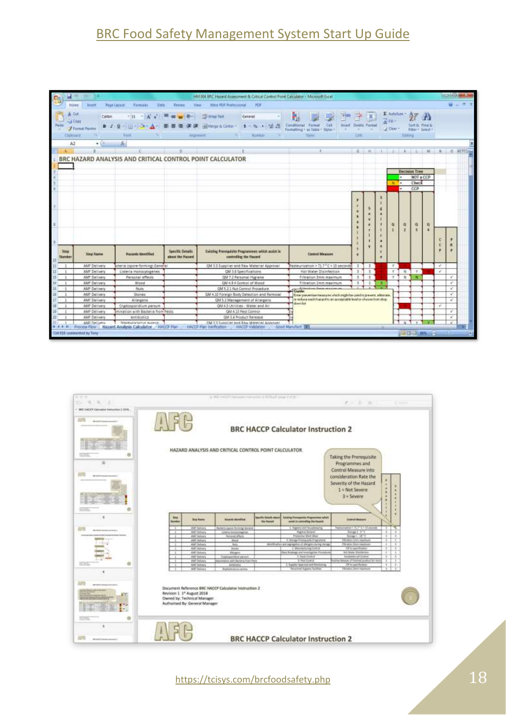# BRC Food Safety Management System Start Up Guide

|                                |                                                               |                                                                                          |                                      |                                         |                                                                             | HM 004 BRC Hazard Assessment & Critical Control Point Calculator - Microsoft Excel |                                    |                |                              |              |                      |         |    | $-1111 - 25$ |
|--------------------------------|---------------------------------------------------------------|------------------------------------------------------------------------------------------|--------------------------------------|-----------------------------------------|-----------------------------------------------------------------------------|------------------------------------------------------------------------------------|------------------------------------|----------------|------------------------------|--------------|----------------------|---------|----|--------------|
| Home                           | <b>Insert</b>                                                 | <b>Page Layout</b><br>Formulati<br><b>Date</b>                                           | Keycevy<br>Vine                      | <b>Hitro PDF Professional</b>           | RIF                                                                         |                                                                                    |                                    |                |                              |              |                      |         |    |              |
| Paido<br><b>CTAREBII</b><br>A2 | Cut<br>Calibin<br>A Code<br><b>J Fremat Pantist</b><br>$+141$ | ritt.<br>Fist<br>ĥ.                                                                      | <b>Highestal</b>                     | <b>Wing Text</b><br>-All Merge & Center | General<br>人族 利福语<br><b>TEL:POLES</b>                                       | Constituenal<br>Firmat<br>Call<br>Formatting r in Table - Styles -<br>外国           | Imatt Delete Format<br><b>CHIE</b> |                | E. Autofass<br>干田三<br>2 Days | Litteta      | Fithi - Seint -      | First 8 |    |              |
|                                |                                                               |                                                                                          | B.                                   |                                         |                                                                             |                                                                                    |                                    |                |                              |              |                      | M.      |    |              |
|                                |                                                               |                                                                                          |                                      |                                         |                                                                             |                                                                                    | $6 -$                              | M.             |                              | ×.           |                      |         | n. | O BEFIGHT    |
|                                |                                                               | BRC HAZARD ANALYSIS AND CRITICAL CONTROL POINT CALCULATOR                                |                                      |                                         |                                                                             |                                                                                    |                                    |                |                              |              |                      |         |    |              |
|                                |                                                               |                                                                                          |                                      |                                         |                                                                             |                                                                                    |                                    |                |                              |              |                      |         |    |              |
|                                |                                                               |                                                                                          |                                      |                                         |                                                                             |                                                                                    |                                    |                |                              |              | <b>Decision Tree</b> |         |    |              |
|                                |                                                               |                                                                                          |                                      |                                         |                                                                             |                                                                                    |                                    |                |                              | н            | <b>NOT &amp; CCP</b> |         |    |              |
|                                |                                                               |                                                                                          |                                      |                                         |                                                                             |                                                                                    |                                    |                | $N = 1$                      |              | Check                |         |    |              |
|                                |                                                               |                                                                                          |                                      |                                         |                                                                             |                                                                                    |                                    |                |                              | ۰            | CCP                  |         |    |              |
|                                |                                                               |                                                                                          |                                      |                                         |                                                                             |                                                                                    |                                    |                | a                            | G)           | 有<br>x               | o<br>я  | t  | ٠            |
| <b>Stru</b><br>Mumber          | <b>Sing Tierra</b>                                            | Hazards Mentified                                                                        | Specific Details<br>shout the Hapord |                                         | Existing Premountaine Programmes safeth assist in<br>controlling the Hazard | <b>Control Measure</b>                                                             |                                    |                |                              |              |                      |         |    |              |
|                                | AMF Delluery                                                  | derla (spore-forming) General                                                            |                                      |                                         | QM 3.5 Supplier and Raw Material Approval                                   | Pasteurisation > T1.7 °C > 13 seconds                                              | л                                  | 10             | $\mathbb{R}$                 |              |                      |         | v  |              |
|                                | <b>AMT Delivery</b>                                           | Listeria monocytogenes                                                                   |                                      |                                         | <b>GM 3.5 Specifications</b>                                                | Hat Water Disinfection                                                             | 3                                  | $\mathbb{R}^n$ | $\pi$                        | 84.          | $\tau$               |         | v  |              |
|                                | <b>AMT Delivery</b>                                           | Personal effects                                                                         |                                      |                                         | QM 7.2 Personal Hygiene                                                     | <b>Filtration Smm maximum</b>                                                      | <b>B</b>                           | $\mathbf{I}$   | ×                            | $\mathbf{u}$ | п                    |         |    | ¥.           |
|                                | AMF Delivery                                                  | Wood                                                                                     |                                      |                                         | CM 4.9 4 Contrai of Wadd                                                    | Filtration Imm meetnum                                                             | л                                  | ÷              |                              |              |                      |         |    | ù            |
| п                              | AMF Dallivery                                                 | Nuts                                                                                     |                                      |                                         | GM 5.2.1 Nut Control Procedure                                              | Guide:                                                                             |                                    |                |                              |              |                      |         |    | V.           |
| $\mathbf{1}$<br>Ħ              | AMF Definery                                                  | Stones                                                                                   |                                      |                                         | QM 4.10 Forwign Body Detection and Removal                                  | Erner pieuentise measures which might be used to present, alminute,                |                                    |                |                              |              |                      |         |    | x            |
| $\mathbf{1}$                   | AMF Delivery                                                  | Allergens                                                                                |                                      |                                         | QVI-5.2 Management of Attergens                                             | to reduce each has ad to an acceptable level or ohoose loon drop:<br>downlat       |                                    |                |                              |              |                      |         |    | ¥.           |
| 1                              | <b>AMF Delivery</b>                                           | Cryptosporidium parkum                                                                   |                                      |                                         | QW4.5 Utilities - Water and Air                                             |                                                                                    |                                    |                |                              |              |                      |         | v. |              |
|                                | AMF Delivery                                                  | mination with Bacteria from Fests.                                                       |                                      |                                         | QM 4.13 Pest Control                                                        |                                                                                    |                                    |                |                              |              |                      |         |    | v            |
|                                | AMF Delivery                                                  | Arttibiotics                                                                             |                                      |                                         | QM 5.6 Product Release                                                      |                                                                                    |                                    |                |                              |              |                      |         |    | ¥            |
|                                | AME Delivery                                                  | Stanbulgcognic autour:<br># # # # Process Flow   Razard Analysis Calculator   HACCP Plan |                                      | HACCP Park Verfication                  | <b>OM 3.5 Supplier and Raw Material Announce</b><br><b>MACOP Valdation</b>  | <b>Good Manufact 140</b>                                                           |                                    |                |                              |              |                      |         |    |              |
|                                | Cell E16 continented by Tony                                  |                                                                                          |                                      |                                         |                                                                             |                                                                                    |                                    |                |                              |              | 四口甲苯二十               |         |    | 94           |

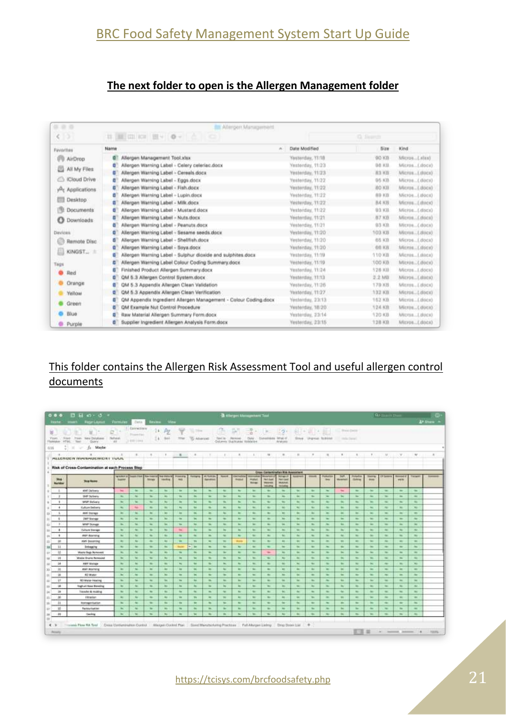#### **The next folder to open is the Allergen Management folder**

| ■ 章 章                 | <b>Allergen Management</b>                                           |                       |                  |                 |
|-----------------------|----------------------------------------------------------------------|-----------------------|------------------|-----------------|
| $\leq$ 3              | ÷                                                                    |                       | <b>Q</b> Service |                 |
| Favorites             | Name                                                                 | Date Modified<br>ALC: | <b>Sizm</b>      | Kind            |
| I/U AirDrop           | Allergen Management Tool visx<br>目                                   | Yasterday, 11:10      | GO KB            | Micros [.alaa)  |
|                       | ø<br>Allergen Warning Label - Celery celeriac.docx                   | Yesterday, 11:23      | <b>DO KS</b>     | Mitros (.docx)  |
| All My Files          | E<br>Allergen Warning Label - Cereals dock                           | Yestenday, 11:23      | 林兰 尾唇            | Micros. Likeca) |
| <b>ICloud Drive</b>   | Allergen Warning Label - Eggs.docx<br>Е                              | Yesterday, 11/22      | 05.KB            | Micros (docs)   |
| Applications          | Allergen Warning Label - Fish.docx<br>G                              | Yasterday, 11:22      | BO KIB           | Micros_LBocx)   |
|                       | Allergen Warning Label - Lupin.docx<br>п                             | Vesterday, 11:22      | 89 KB            | Microe (.1900X) |
| Desktop:              | Allergen Warning Label - Milk.docx<br>в                              | Yesterday, 11:22      | B.A. KH          | Micros Loucky   |
| <b>Documents</b>      | Allergen Warning Label - Mustard.docx<br>۵                           | Vestorday, 11:22      | 0.1 KB           | Micros (4990x)  |
| o<br><b>Downloads</b> | Allergen Warning Label - Nuts.dock<br>G                              | Vesterday, 11/21      | 87.108           | Mitros. (.docs) |
|                       | Allergen Warning Label - Peanuts docx<br>e                           | Yesterday, 11/21      | 03 KB            | Mitron (.docs)  |
| Diretees              | Allergen Warning Label - Sesame seeds docx<br>۵                      | Vesterday, 11/20      | 103 KB           | Micros (JBICK)  |
| Remote Disc           | Allergen Warning Label - Shelffish dock<br>e                         | Yesterday, 11/20      | 65 KB            | Micros Libocit) |
|                       | Allergen Warning Label - Soya.docx<br>e                              | Yesterday, 11/20      | <b>价值 M月</b>     | Micros (.docs)  |
| KINGST.               | Altergen Warning Label - Sulphur dioxide and sulphites docs<br>G     | Yestenday, 11/19      | <b>110 KB</b>    | MicrosLilincu>  |
| Taigs                 | Allergen Warning Label Colour Coding Summary.docx                    | Vestelday, 11/19      | 100 KB           | Micros (.00Cx)  |
| Red                   | Finished Product Allergen Summary.docx<br>Е                          | Yesterday, 11:24      | 528 KB           | Micros_Löock)   |
|                       | QM 5.3 Allergen Control System.docx<br>п                             | Yesterday, 11:13      | 2.2 MB           | Micros_Litecs)  |
| Orange                | QM 5.3 Appendix Allergen Clean Validation<br>Б                       | Yesterday, 11:26      | 170 KB           | Micros., Louck) |
| Yellow                | QM 5.3 Appendix Allergen Clean Verification<br>Ξ                     | Vienterday, 11:27     | 332 KB           | Micros_Loocx)   |
|                       | QM Appendix Ingredient Allergen Management - Colour Coding docx<br>E | Yestelday, 23:13      | 152 KB           | Micros(.docx).  |
| Green                 | QM Example Nut Control Procedure<br>п                                | Yesterday, 18/20.     | 124 KB           | Mitros (.000x)  |
| Blue:                 | Raw Material Allergen Summary Form.docx<br>Е                         | Vesterday, 23:14      | 120 KB           | MIDTON  LIBBOX3 |
| <b>B</b> Purple       | Supplier Ingredient Allergen Analysis Form.docx<br>в                 | Yesterday, 23/15      | <b>T2B KB</b>    | Mitron. Lisoca) |

### This folder contains the Allergen Risk Assessment Tool and useful allergen control documents

| 0.9.8                                        | $H = 0$<br>D.<br><b>Figure LAWAII</b>                                      | : Formulae                            | <b>Bietin</b>                                            | <b>Heules</b>            | <b>Nave</b>                 |                |                    |                          |                     |                                                                                                | A Allegen Management Tool |                                                 |                                                    |                                                                                                |               |                                                                                                |                                        |                 |                 | <b>G</b> ELL-II          |                                                                                                                                                      |                          | <b>A+ Dunn</b> = |
|----------------------------------------------|----------------------------------------------------------------------------|---------------------------------------|----------------------------------------------------------|--------------------------|-----------------------------|----------------|--------------------|--------------------------|---------------------|------------------------------------------------------------------------------------------------|---------------------------|-------------------------------------------------|----------------------------------------------------|------------------------------------------------------------------------------------------------|---------------|------------------------------------------------------------------------------------------------|----------------------------------------|-----------------|-----------------|--------------------------|------------------------------------------------------------------------------------------------------------------------------------------------------|--------------------------|------------------|
| ¥<br>Frees:<br>Thism.<br>HTML<br>Flatebook 1 | ÷<br>u<br><b>Nikle DataBase</b><br><b>Trippen</b><br><b>Text</b><br>Glory. | c<br>in 1<br><b>But-put-</b><br>$-48$ | <b>Connections</b><br>President and<br><b>ASSESSMENT</b> |                          | -PZ<br>9H<br>$14 - 900$     | 31km           | To Atverse         |                          | Text to - Stevenski | Column Guillane Hobbita                                                                        | Date:                     | Constitute Wrat-F                               | Versionis                                          |                                                                                                |               | Since Argues McBond                                                                            | 11. Brand Check<br>177 Stadium Started |                 |                 |                          |                                                                                                                                                      |                          |                  |
| 638                                          | Maybe<br>$\mathbb{R}$<br>ße.<br>$\sim$                                     |                                       |                                                          |                          |                             |                |                    |                          |                     |                                                                                                |                           |                                                 |                                                    |                                                                                                |               |                                                                                                |                                        |                 |                 |                          |                                                                                                                                                      |                          |                  |
| 180                                          | $\alpha$<br><b>ALLENGER INAVERIES WERT TUUL</b>                            | œ.                                    | n.                                                       | $-1.18$                  | 18.                         | i iz           | ×                  | $\mathbb{R}$             | 10.11               | $\sim$                                                                                         | $\sim$                    | $_{\rm H}$                                      | $\sim$                                             | $\rm{II}$                                                                                      | $\frac{1}{2}$ | H.                                                                                             |                                        | $\mathbb{R}$    | T.              | $\mathcal{M}$            | $\rightarrow$                                                                                                                                        | $\approx$                | $\overline{a}$   |
|                                              |                                                                            |                                       |                                                          |                          |                             |                |                    |                          |                     |                                                                                                |                           |                                                 |                                                    |                                                                                                |               |                                                                                                |                                        |                 |                 |                          |                                                                                                                                                      |                          |                  |
|                                              | Risk of Cross-Contamination at each Process Step                           |                                       |                                                          |                          |                             |                |                    |                          |                     |                                                                                                |                           | <b>Otto: Centerbluffen Kid Associate</b>        |                                                    |                                                                                                |               |                                                                                                |                                        |                 |                 |                          |                                                                                                                                                      |                          |                  |
|                                              |                                                                            | <b>NEWMORE</b>                        | <b>HARRY EXAM</b>                                        | <b>New interest</b>      | <b>New Adams (all</b>       | <b>Polenta</b> | <b>Rock Agrica</b> | <b>AITEMENT</b>          |                     |                                                                                                |                           |                                                 | <b>Milliam A</b>                                   |                                                                                                |               |                                                                                                | <b>Just</b>                            |                 | ,,,,,           | (F) became               | -                                                                                                                                                    | <b>Tallant</b>           |                  |
| Mag<br><b>Number</b>                         | <b>Skyp Home</b>                                                           | <b>Support</b>                        |                                                          | Mirrary.                 | <b><i><u>Indica</u></i></b> | Anti-          |                    | <b>Takishwa</b>          |                     | minut                                                                                          | midwit<br><b>Brings</b>   | <b>TWT Date</b><br><b>VANISH</b><br><b>MARK</b> | <b>TWO Coast</b><br><b><i>Dukmak</i></b><br>minteg |                                                                                                |               | mail                                                                                           | Malelaki                               | <b>Tiolinia</b> | dress.          |                          | <b>WHY</b>                                                                                                                                           |                          |                  |
| $-10^{-1}$                                   | <b>ANT Delivery</b>                                                        | $\sim$                                | $\sim$                                                   | ÷                        | $\rightarrow$               | <b>SH</b>      | <b>M</b>           | ×                        | $\sim$              | $\sim$                                                                                         | $\sim$                    | $\rightarrow$                                   | $\rightarrow$                                      | $\overline{\phantom{a}}$                                                                       | $\rightarrow$ | $\rightarrow$                                                                                  | 191                                    | $\sim$          | $\sim$          | $\blacksquare$           | $\sim$                                                                                                                                               | $\sim$                   |                  |
| $\rightarrow$                                | <b>Bill Science</b>                                                        | $\sim$                                | ×.                                                       | <b>B</b>                 | $\rightarrow$               | $\sim$         | $\sim$             | ٠                        | $\sim$              | ۰                                                                                              | $\sim$                    | $\mathbf{r}$                                    | $\sim$                                             | $\sim$                                                                                         | $\sim$        | $\sim$                                                                                         | ÷                                      | $\sim$          | $\sim$          | $\sim$                   | $\sim$                                                                                                                                               | $\frac{1}{2}$            |                  |
| $\cdot$                                      | <b>WMF Selvery</b>                                                         | $\sim$                                | <b>No.</b>                                               | $\mathcal{R}$            | <b>BE</b>                   | $\sim$         | (M)                | $\sim$                   | $\sim$              | $\sim$                                                                                         | <b>Sec.</b>               | $\sim$                                          | $\sim$                                             | $\sim$                                                                                         | $\sim$        | $\sim$                                                                                         | m                                      | m.              | <b>Sec</b>      | $\sim$                   | $\sim$                                                                                                                                               | $\sim$                   |                  |
| $\rightarrow$                                | Culture Deliveria                                                          | $\sim$                                | <b>No</b>                                                | $\sim$                   | $\rightarrow$               | $\mathbf{a}_i$ | 194                | <b>B</b>                 | $\sim$              | $\frac{1}{2} \left( \frac{1}{2} \right) \left( \frac{1}{2} \right) \left( \frac{1}{2} \right)$ | $\sim$                    | $\sim$                                          | $\sim$                                             | $\sim$                                                                                         | <b>Ship</b>   | $\sim$                                                                                         | $\sim$                                 | $\sim$          | <b>Contract</b> | $\sim$                   | $\sim$                                                                                                                                               | <b>CALL</b>              |                  |
| 16                                           | and Stones                                                                 | $\sim$                                | $\sim$                                                   | $\sim$                   | <b>ALC</b>                  | <b>SIL</b>     | $\sim$             | $\sim$                   | $\sim$              | $\sim$                                                                                         | $\sim$                    | $\sim$                                          | m.                                                 | $\sim$                                                                                         | $\sim$        | $\sim$                                                                                         | $\sim$                                 | $\sim$          | Tel.            | $\sim$                   | ar.                                                                                                                                                  | $\sim$                   |                  |
| $\rightarrow$                                | <b>IMP Storest</b>                                                         | $\sim$                                | $\sim$                                                   | $\sim$                   | m.                          | $\sim$         | m.                 | $\sim$                   | $\sim$              | $\sim$                                                                                         | $\sim$                    | $\frac{1}{2}$                                   | m.                                                 | $\sim$                                                                                         | <b>State</b>  | $\sim$                                                                                         | $\sim$                                 | $\sim$          | <b>Sec.</b>     | m.                       | $\sim$                                                                                                                                               | $\sim$                   |                  |
|                                              | <b>WIMP Stonage</b>                                                        | $\sim$                                | the .                                                    | $\sim$                   | $\sim$                      | <b>State</b>   | <b>ISE</b>         | m.                       | m.                  | $\sim$                                                                                         | $\sim$                    | $\sim$                                          | $\sim$                                             | $\sim$                                                                                         | $\sim$        | $\sim$                                                                                         | m.                                     | $\sim$          | <b>Sec.</b>     | $\sim$                   | $\sim$                                                                                                                                               | $\sim$                   |                  |
| 13.81                                        | Culture Banker                                                             | $\sim$                                | $\sim$                                                   | $\rightarrow$            | m.                          | <b>Films</b>   | m.                 | $\sim$                   | $\sim$              | $\frac{1}{2}$                                                                                  | $\sim$                    | $\sim$                                          | $\sim$                                             | $\rightarrow$                                                                                  | $\sim$        | <b>State</b>                                                                                   | $\sim$                                 | $\sim$          | <b>State</b>    | $\sim$                   | <b>PECT</b>                                                                                                                                          | $\rightarrow$            |                  |
| ٠                                            | <b>ANN</b> Wayness                                                         | $\sim$                                | $\sim$                                                   | $\sim$                   | <b>SA</b>                   | ٠              | $\frac{1}{2}$      | m.                       | $\sim$              | $\sim$                                                                                         | $\sim$                    | $\sim$                                          | <b>SO</b>                                          | m.                                                                                             | $\frac{1}{2}$ | $\sim$                                                                                         | m.                                     | $\sim$          | $\sim$          | $\sim$                   | $\sim$                                                                                                                                               | $\sim$                   |                  |
| 16                                           | <b>AMA Desarring</b>                                                       | $\sim$                                | $\sim$                                                   | $\sim$                   | m.                          | <b>THE</b>     | $^{12}$            | $\mathbf{m}$             | $\sim$              | <b>Harry</b>                                                                                   | $\sim$                    | $\sim$                                          | m.                                                 | $\mathbf{m}$                                                                                   | $\sim$        | $\sim$                                                                                         | $\mathbf{m}$                           | $\sim$          | The C           | $\sim$                   | $\sim$                                                                                                                                               | $\sim$                   |                  |
| 38                                           | <b>Selection</b>                                                           | $\sim$                                | $\sim$                                                   | $\rightarrow$            | <b>SHI</b>                  | <b>Hyder</b>   | $v$ ; ne           | $\sim$                   | $\sim$              | $\sim$                                                                                         | $\sim$                    | $\rightarrow$                                   | $\rightarrow$                                      | $\sim$                                                                                         | $\rightarrow$ | <b>COLL</b>                                                                                    | $\sim$                                 | $\sim$          | $\sim$          | $\sim$                   | $\sim$                                                                                                                                               | <b>Chair</b>             |                  |
| id-                                          | <b>Warte Rags Rommed</b>                                                   | m.                                    | n.                                                       | $\sim$                   | m.                          | <b>BE</b>      | ×                  | $\sim$                   | $\sim$              | ۰                                                                                              | $\sim$                    | $\overline{\phantom{a}}$                        | $\mathbf{m}$                                       | $\mathbf{a}$                                                                                   | $\sim$        | <b>SEC</b>                                                                                     | m.                                     | m.              | $\sim$          | m.                       | $\sim$                                                                                                                                               | $\overline{\phantom{a}}$ |                  |
| 28.                                          | Waste Churre Removed                                                       | $\sim$                                | the .                                                    | <b>TRI</b>               | <b>Bo</b>                   | <b>Sec.</b>    | (W)                | $\sim$                   | $\sim$              | $\sim$                                                                                         | <b>Sec.</b>               | $\sim$                                          | <b>Sec</b>                                         |                                                                                                | $\sim$        | $\sim$                                                                                         | ×                                      | $\mathbf{m}$    | <b>State</b>    | <b>REC</b>               | $\sim$                                                                                                                                               | <b>The</b>               |                  |
| 14                                           | AMY Motals                                                                 | $\sim$                                | <b>No.</b>                                               | <b>State</b>             | <b>SHI</b>                  | $\mathbf{a}_i$ | 194                | $\sim$                   | $\sim$              | $\sim$                                                                                         | $\sim$                    | $\sim$                                          | $\rightarrow$                                      | $\sim$                                                                                         | $\sim$        | ÷                                                                                              | $\sim$                                 | $\sim$          | <b>Sec</b>      | <b>State</b>             | $\sim$                                                                                                                                               | <b>Card</b>              |                  |
| 16                                           | <b>AMI Warreng</b>                                                         | $\sim$                                | m.                                                       | $\sim$                   | $\sim$                      | <b>Sec.</b>    | ۰                  | $\frac{1}{2}$            | ÷                   | ۰                                                                                              | $\sim$                    | $\frac{1}{2}$                                   | m.                                                 | $\sim$                                                                                         | $\sim$        | $\sim$                                                                                         |                                        | $\sim$          | $\sim$          | $\sim$                   | $\frac{1}{2}$                                                                                                                                        | $\equiv$                 |                  |
| $\mathbf{B}$                                 | <b>REWWHI</b>                                                              | $\sim$                                | m.                                                       | $\rightarrow$            | <b>Sec.</b>                 | $\sim$         | m.                 | $\sim$                   | $\sim$              | $\frac{1}{2} \left( \frac{1}{2} \right) \left( \frac{1}{2} \right) \left( \frac{1}{2} \right)$ | $\frac{1}{2}$             | $\sim$                                          | m.                                                 | $\frac{1}{2} \left( \frac{1}{2} \right) \left( \frac{1}{2} \right) \left( \frac{1}{2} \right)$ | $\frac{1}{2}$ | $\sim$                                                                                         | $\sim$                                 | <b>Sec.</b>     | $\sim$          | $\sim$                   | $\sim$                                                                                                                                               | $\sim$                   |                  |
| Ħ                                            | 603 Marie Howing                                                           | $\sim$                                | the .                                                    | $\overline{\phantom{a}}$ | $\sim$                      | -les           | m.                 | -                        | m.                  | $\sim$                                                                                         | $\sim$                    | $\rightarrow$                                   | $\sim$                                             | $\sim$                                                                                         | ÷             | $\overline{\phantom{a}}$                                                                       | m.                                     | $\sim$          | $\sim$          | $\sim$                   | $\frac{1}{2} \sum_{i=1}^{n} \frac{1}{2} \left( \frac{1}{2} \sum_{i=1}^{n} \frac{1}{2} \right) \left( \frac{1}{2} \sum_{i=1}^{n} \frac{1}{2} \right)$ | $\rightarrow$            |                  |
| ta.                                          | <b>High at Base Birming</b>                                                | $\sim$                                | ÷                                                        | ٠                        | $\rightarrow$               | m.             | m.                 | $\rightarrow$            | ×                   | $\sim$                                                                                         | ÷                         | $\sim$                                          | $\sim$                                             | $\rightarrow$                                                                                  | $\sim$        | <b>Hotel</b>                                                                                   | $\sim$                                 | $\rightarrow$   | $\sim$          | $\sim$                   | $\sim$                                                                                                                                               | $\rightarrow$            |                  |
| 18                                           | Transfer & ricabing                                                        | $\sim$                                | $\sim$                                                   | $\sim$                   | <b>SAL</b>                  | $\sim$         | $\sim$             | AL.                      | $\sim$              | $\sim$                                                                                         | $\sim$                    | $\sim$                                          | m.                                                 | ta.                                                                                            | $\frac{1}{2}$ | $\sim$                                                                                         | AL.                                    | $\sim$          | $\sim$          | $\sim$                   | $\sim$                                                                                                                                               | $\frac{1}{2}$            |                  |
| ×                                            | Elenedan                                                                   | $\sim$                                | $^{+}$                                                   | $\frac{1}{2}$            | <b>MI</b>                   | <b>THE</b>     | m.                 | $\overline{\phantom{a}}$ | $\sim$              | $\sim$                                                                                         | $\sim$                    | $\sim$                                          | m.                                                 | $\equiv$                                                                                       | $\sim$        | $\sim$                                                                                         | $\mathbf{m}$                           | $\equiv$        | $\sim$          | $\sim$                   | $\equiv$                                                                                                                                             | $\equiv$                 |                  |
| $\exists$                                    | <b>Nomenthation</b>                                                        | $\sim$                                | the .                                                    | $\rightarrow$            | $\rightarrow$               | <b>Har</b>     | <b>BE</b>          | ۰                        | $\sim$              | $\overline{\phantom{a}}$                                                                       | $\sim$                    | $\rightarrow$                                   | $\rightarrow$                                      | $\sim$                                                                                         | $\rightarrow$ | $\overline{\phantom{a}}$                                                                       | $\sim$                                 | $\sim$          | $\sim$          | $\sim$                   | $\sim$                                                                                                                                               | $\sim$                   |                  |
| 70                                           | <b>Fastew batter</b>                                                       | <b>NC</b>                             | 36.                                                      | <b>B</b>                 | <b>State</b>                | $\mathbf{u}$   | m.                 | $\sim$                   | $\sim$              | $\sim$                                                                                         | $\sim$                    | $\sim$                                          | $\overline{a}$                                     | m.                                                                                             | $\sim$        | $\sim$                                                                                         | ×                                      | m.              | $\sim$          | ×.                       | $\sim$                                                                                                                                               | $\sim$                   |                  |
| 21                                           | Conkry                                                                     | $\sim$                                | ÷                                                        | $\sim$                   | m.                          | $\sim$         | <b>Sec.</b>        | ٠                        | $\sim$              | $\sim$                                                                                         | $\sim$                    | $\sim$                                          | $\rightarrow$                                      | ۰                                                                                              | ÷             | $\frac{1}{2} \left( \frac{1}{2} \right) \left( \frac{1}{2} \right) \left( \frac{1}{2} \right)$ | m.                                     | $\overline{a}$  | $\sim$          | $\overline{\phantom{a}}$ | $\sim$                                                                                                                                               | $\rightarrow$            |                  |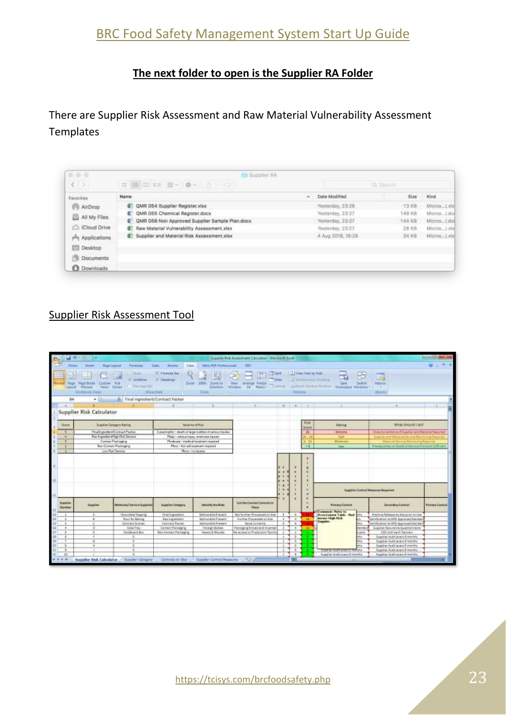## BRC Food Safety Management System Start Up Guide

## **The next folder to open is the Supplier RA Folder**

There are Supplier Risk Assessment and Raw Material Vulnerability Assessment **Templates** 

| (3)                   | HEDRICH BY OF BIG                                    |      |                   | Q. Sierch |               |
|-----------------------|------------------------------------------------------|------|-------------------|-----------|---------------|
| <b>Favorites</b>      | Name                                                 | ALC: | Date Modified     | Size      | King          |
| <b>AirDrop</b>        | <b>QMR 054 Supplier Register.xlsx</b><br>œ           |      | Yesterday, 23:26  | 13.88     | MicrosLula    |
| All My Files          | QMR 055 Chemical Register.docx<br>σ                  |      | Yesterday, 23:27  | 日米早点      | MicrosLdo     |
|                       | QMR 056 Non Approved Supplier Sample Plan.docx<br>a. |      | Yesterday, 23:27  | 144 KB    | Micros. Ldo   |
| Cloud Drive           | Raw Material Vulnerability Assessment.xlax<br>s.     |      | Yesterday, 23:27  | $28$ KB   | MicrosLxlu    |
| Applications          | <b>B</b> Supplier and Material Risk Assessment.xlsx  |      | 4 Aug 2018, 18:28 | 34 KB     | Micron., Late |
| <b>COL</b><br>Desktop |                                                      |      |                   |           |               |
| m<br><b>Documents</b> |                                                      |      |                   |           |               |
| Downloads<br>o        |                                                      |      |                   |           |               |

## Supplier Risk Assessment Tool

|                                     | $40 - m$                                                                 |                                                        |                                                          |                                           | Supplier Risk Assessment Calculator - Microsoft Excel                                   |                  |                |                        |                                                                                                |              |                                                                    | <b>ACREATIVE</b>        |
|-------------------------------------|--------------------------------------------------------------------------|--------------------------------------------------------|----------------------------------------------------------|-------------------------------------------|-----------------------------------------------------------------------------------------|------------------|----------------|------------------------|------------------------------------------------------------------------------------------------|--------------|--------------------------------------------------------------------|-------------------------|
| Horse:                              | <b>Magair Englecial</b><br>Instal                                        | Fermulas                                               | <b>Tata:</b><br><b>Fireness</b><br>View.                 | <b>Nillos RDP Professional</b>            | <b>KTIF</b>                                                                             |                  |                |                        |                                                                                                |              |                                                                    |                         |
| Literatur                           | Page: Page Break   Custom Full<br>Ment SOHH<br>Prévenue<br>Warracok-Heer | (Tillate)<br>2 Sommer<br>19010NFSH<br><b>Historica</b> | <b>College Processing This</b><br>V Pestings             | 2900 INVS<br>Ziem to<br>Selection<br>2010 | 三甲<br>Ħ<br><b>South 1</b><br><b>New Wrange Fiester</b><br>AD Pares - Prima<br>Witschner | mine             | Windfire       | 1   View Side by Sale  | If consumer limiting<br>30 <sub>1</sub><br><b>Julian Sylvania Product / Washington Western</b> | うみまの         | Œ<br>Morrey<br><b>WAITER</b>                                       |                         |
| 84                                  | $-11$                                                                    | 6 Final menedient/Contract Packer                      |                                                          |                                           |                                                                                         |                  |                |                        |                                                                                                |              |                                                                    |                         |
|                                     |                                                                          |                                                        | <b>I</b> D                                               |                                           |                                                                                         |                  |                |                        |                                                                                                |              |                                                                    |                         |
|                                     | Supplier Risk Calculator                                                 |                                                        |                                                          |                                           |                                                                                         |                  |                |                        |                                                                                                |              |                                                                    |                         |
| 3/246                               |                                                                          | Supplier Catagory Rating                               | Susantard Rusi                                           |                                           |                                                                                         |                  |                | <b>Rigia</b><br>licoro | <b>Austing</b>                                                                                 |              | What should lide?                                                  |                         |
|                                     |                                                                          | FinalingsdamContractPacker                             | Catastrophic : death in farge number of serious injuites |                                           |                                                                                         |                  |                | 25                     | Intrawe                                                                                        |              | Close Surre Perma of Supplier and Metersel Required                |                         |
| ٠                                   |                                                                          | Ray Ingreders/High Risk Service                        | Major-serious Injury, extensive injuries                 |                                           |                                                                                         |                  |                | ъ.                     | High                                                                                           |              | Supplier brot Material/Vehicle Beachtaing Fes                      |                         |
|                                     |                                                                          | Contain Pankaging                                      | Moderate - marking treatment required                    |                                           |                                                                                         |                  |                | $0 - 25$               | Moderate                                                                                       |              | Material/Second Montanchy Response                                 |                         |
|                                     |                                                                          | Non-Connacc Packaging                                  |                                                          | Million - filter aid the almost required  |                                                                                         |                  |                | $-6$                   | <b>Sand</b>                                                                                    |              | Preniggates of Stads Indential Province Settician                  |                         |
|                                     |                                                                          | Low Risk Service                                       |                                                          | Minor / no equives                        |                                                                                         |                  |                |                        |                                                                                                |              |                                                                    |                         |
|                                     |                                                                          |                                                        |                                                          |                                           |                                                                                         | di in<br>×<br>٠. |                |                        |                                                                                                |              | Supplies Cortast Méxicine Required                                 |                         |
| <b>Burgitar</b><br><b>Start buy</b> | <b>Supplies</b>                                                          | <b>Massissip' Service Suppliers</b>                    | <b>Reporter Canagio's</b>                                | Interchi dia Bata                         | List fits Covert Committee<br>Discut                                                    |                  |                |                        | <b>Primary Consool</b>                                                                         |              | Secondary Control                                                  | <b>Pristany Control</b> |
| $\overline{a}$                      | $\sim$                                                                   | <b>Checolate Teasing</b>                               | <b>Final Lignalizers</b>                                 | Salmungilla Prayado                       | <b>Spot Furniture Programment con Sche-</b>                                             | х.               | $\sim$         |                        | Comment Roter to<br>Ascreament Toble - find                                                    | otu.         | Presidence Reduction in China prime for Major                      |                         |
| ×                                   | $\mathbf{z}$                                                             | <b>Rout for Baking</b>                                 | <b>Rawlingcodient</b>                                    | <b>Jalmanette Fresent</b>                 | Further Processed on Ste-                                                               | ٠                | $\ddot{}$      | 18                     | means than this                                                                                | m.           | Certification to GFII Approved Standard                            |                         |
| а                                   | ÷                                                                        | Esystract/Scones                                       | Самольсс Раская                                          | Salmonaite Present                        | <b>None Customs</b>                                                                     | $\mathbf{F}$     | $\overline{b}$ |                        | Supplier                                                                                       | tha.         | Centricacion se GFM Approved Standard                              |                         |
| $\overline{\phantom{a}}$            | œ.                                                                       | Cake Tray                                              | <b>Contact Packaging</b>                                 | <b>Foreign Bodies</b>                     | Packaging Rinsed and Inverted                                                           | $2^{\circ}$      | $\overline{a}$ | -13                    |                                                                                                | tander       | Supplier Assurance Questionneire                                   |                         |
|                                     | T.                                                                       | Cardboard Boo                                          | Non-Contact Faciaging                                    | Years & Moulds                            | No access to Production Facility                                                        | $\pm$            | x              |                        |                                                                                                | <b>UARTH</b> | COC with each Delivery                                             |                         |
| $\overline{a}$                      |                                                                          | ×                                                      |                                                          |                                           |                                                                                         | $\pm$ .          | Ŧ.             |                        |                                                                                                | the          | Supplier Audit every Ernonstal                                     |                         |
|                                     | л                                                                        | ٠                                                      |                                                          |                                           |                                                                                         | $\mathbb{T}$ .   | 1              |                        |                                                                                                | thic         | logicher Audit every Emonths                                       |                         |
| $\blacksquare$                      | $\leftarrow$                                                             |                                                        |                                                          |                                           |                                                                                         |                  | $\sim$<br>٠    |                        |                                                                                                |              | Tuggier Audit every Eimanthy                                       |                         |
| ٠<br>127                            |                                                                          |                                                        |                                                          |                                           |                                                                                         |                  | $\mathbf{r}$   |                        | Suggli il Filippe avery 5 Millione.                                                            |              | Sopher Aust Lewis Entertity<br><b>Tuesday And It avery Emmette</b> |                         |
|                                     |                                                                          |                                                        |                                                          |                                           |                                                                                         |                  |                |                        | Supplies Audit warry E-months                                                                  |              |                                                                    |                         |
| $4 + 1$                             | Suppler Risk Calculator                                                  | <b>Suppler Citigary</b>                                | Controls on Site                                         | Supplier Central Measures                 |                                                                                         |                  |                |                        |                                                                                                |              |                                                                    |                         |